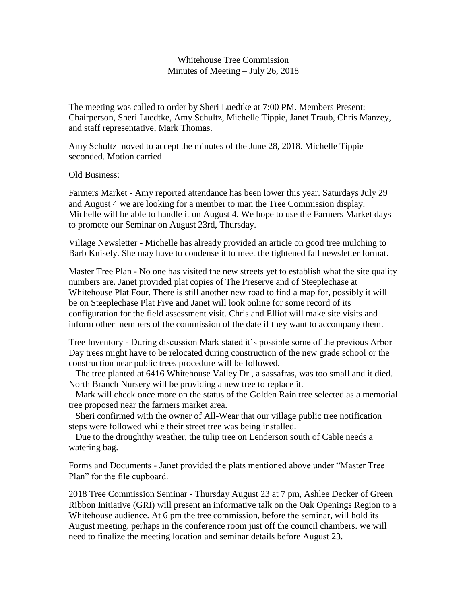## Whitehouse Tree Commission Minutes of Meeting – July 26, 2018

The meeting was called to order by Sheri Luedtke at 7:00 PM. Members Present: Chairperson, Sheri Luedtke, Amy Schultz, Michelle Tippie, Janet Traub, Chris Manzey, and staff representative, Mark Thomas.

Amy Schultz moved to accept the minutes of the June 28, 2018. Michelle Tippie seconded. Motion carried.

Old Business:

Farmers Market - Amy reported attendance has been lower this year. Saturdays July 29 and August 4 we are looking for a member to man the Tree Commission display. Michelle will be able to handle it on August 4. We hope to use the Farmers Market days to promote our Seminar on August 23rd, Thursday.

Village Newsletter - Michelle has already provided an article on good tree mulching to Barb Knisely. She may have to condense it to meet the tightened fall newsletter format.

Master Tree Plan - No one has visited the new streets yet to establish what the site quality numbers are. Janet provided plat copies of The Preserve and of Steeplechase at Whitehouse Plat Four. There is still another new road to find a map for, possibly it will be on Steeplechase Plat Five and Janet will look online for some record of its configuration for the field assessment visit. Chris and Elliot will make site visits and inform other members of the commission of the date if they want to accompany them.

Tree Inventory - During discussion Mark stated it's possible some of the previous Arbor Day trees might have to be relocated during construction of the new grade school or the construction near public trees procedure will be followed.

 The tree planted at 6416 Whitehouse Valley Dr., a sassafras, was too small and it died. North Branch Nursery will be providing a new tree to replace it.

 Mark will check once more on the status of the Golden Rain tree selected as a memorial tree proposed near the farmers market area.

 Sheri confirmed with the owner of All-Wear that our village public tree notification steps were followed while their street tree was being installed.

 Due to the droughthy weather, the tulip tree on Lenderson south of Cable needs a watering bag.

Forms and Documents - Janet provided the plats mentioned above under "Master Tree Plan" for the file cupboard.

2018 Tree Commission Seminar - Thursday August 23 at 7 pm, Ashlee Decker of Green Ribbon Initiative (GRI) will present an informative talk on the Oak Openings Region to a Whitehouse audience. At 6 pm the tree commission, before the seminar, will hold its August meeting, perhaps in the conference room just off the council chambers. we will need to finalize the meeting location and seminar details before August 23.